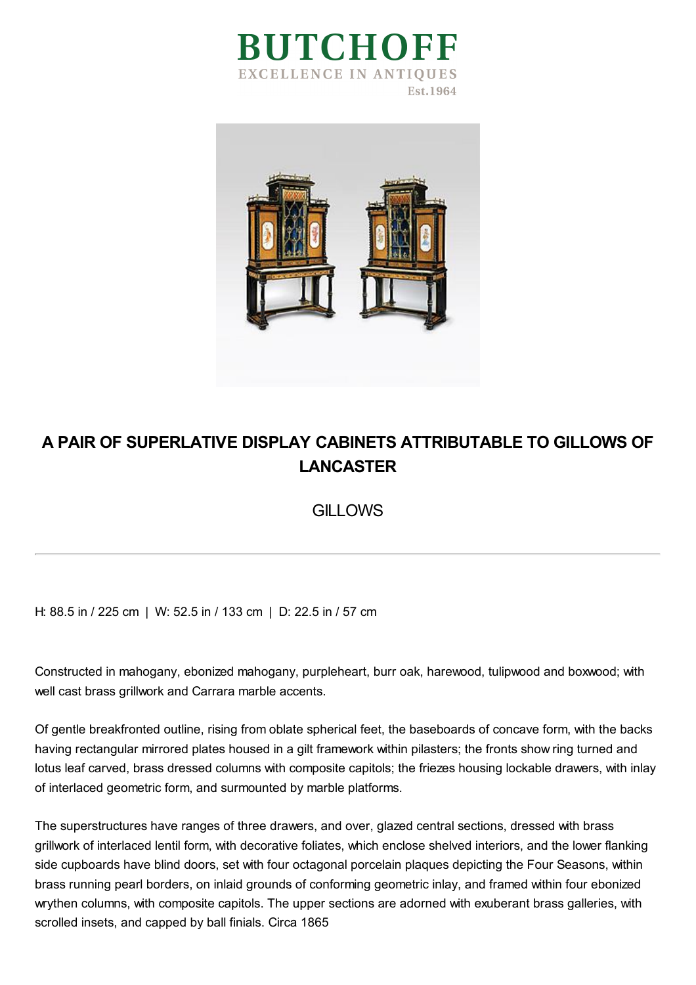



## **A PAIR OF SUPERLATIVE DISPLAY CABINETS ATTRIBUTABLE TO GILLOWS OF LANCASTER**

**GILLOWS** 

H: 88.5 in / 225 cm | W: 52.5 in / 133 cm | D: 22.5 in / 57 cm

Constructed in mahogany, ebonized mahogany, purpleheart, burr oak, harewood, tulipwood and boxwood; with well cast brass grillwork and Carrara marble accents.

Of gentle breakfronted outline, rising from oblate spherical feet, the baseboards of concave form, with the backs having rectangular mirrored plates housed in a gilt framework within pilasters; the fronts show ring turned and lotus leaf carved, brass dressed columns with composite capitols; the friezes housing lockable drawers, with inlay of interlaced geometric form, and surmounted by marble platforms.

The superstructures have ranges of three drawers, and over, glazed central sections, dressed with brass grillwork of interlaced lentil form, with decorative foliates, which enclose shelved interiors, and the lower flanking side cupboards have blind doors, set with four octagonal porcelain plaques depicting the Four Seasons, within brass running pearl borders, on inlaid grounds of conforming geometric inlay, and framed within four ebonized wrythen columns, with composite capitols. The upper sections are adorned with exuberant brass galleries, with scrolled insets, and capped by ball finials. Circa 1865